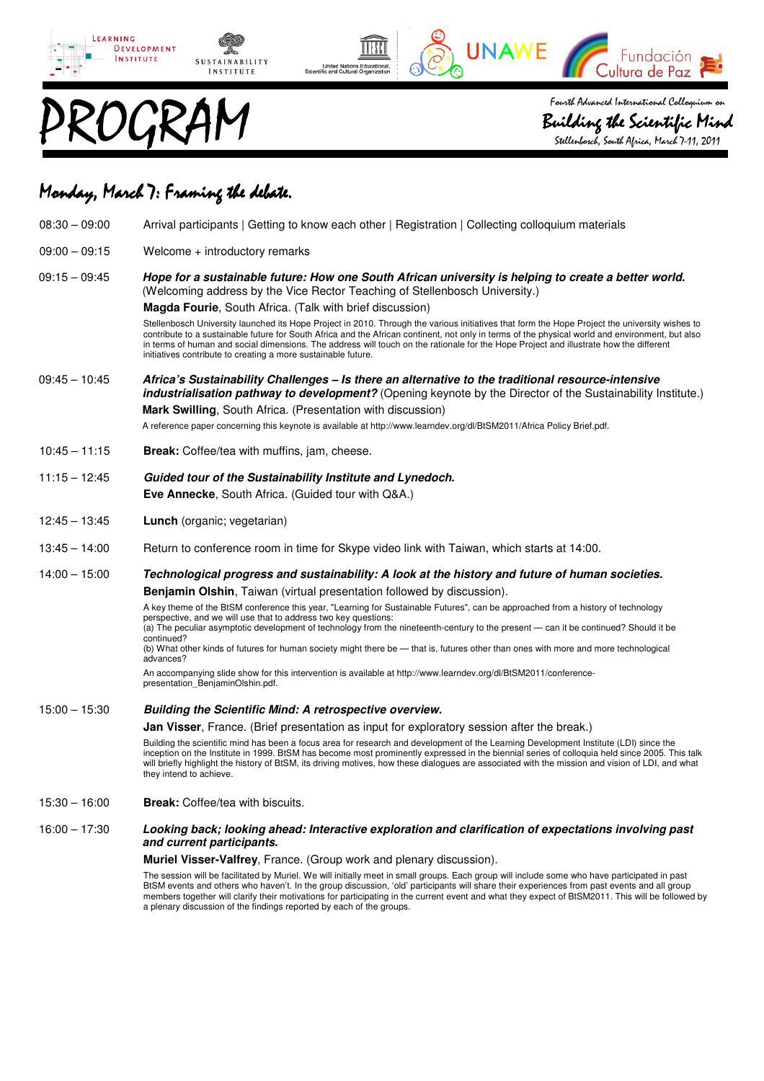



Building the Scientific Mind the Stellenbosch, South Africa, March 7-11, 2011

Fundación

Cultura de Paz

UNAWE

# Monday, March 7: Framing the debate.

| $08:30 - 09:00$ | Arrival participants   Getting to know each other   Registration   Collecting colloquium materials                                                                                                                                                                                                                                                                                                                                                                                                                                                                                                                                                                                                                                                                                                                                                         |
|-----------------|------------------------------------------------------------------------------------------------------------------------------------------------------------------------------------------------------------------------------------------------------------------------------------------------------------------------------------------------------------------------------------------------------------------------------------------------------------------------------------------------------------------------------------------------------------------------------------------------------------------------------------------------------------------------------------------------------------------------------------------------------------------------------------------------------------------------------------------------------------|
| $09:00 - 09:15$ | Welcome + introductory remarks                                                                                                                                                                                                                                                                                                                                                                                                                                                                                                                                                                                                                                                                                                                                                                                                                             |
| $09:15 - 09:45$ | Hope for a sustainable future: How one South African university is helping to create a better world.<br>(Welcoming address by the Vice Rector Teaching of Stellenbosch University.)<br><b>Magda Fourie, South Africa. (Talk with brief discussion)</b><br>Stellenbosch University launched its Hope Project in 2010. Through the various initiatives that form the Hope Project the university wishes to<br>contribute to a sustainable future for South Africa and the African continent, not only in terms of the physical world and environment, but also<br>in terms of human and social dimensions. The address will touch on the rationale for the Hope Project and illustrate how the different<br>initiatives contribute to creating a more sustainable future.                                                                                    |
| $09:45 - 10:45$ | Africa's Sustainability Challenges – Is there an alternative to the traditional resource-intensive<br>industrialisation pathway to development? (Opening keynote by the Director of the Sustainability Institute.)<br>Mark Swilling, South Africa. (Presentation with discussion)<br>A reference paper concerning this keynote is available at http://www.learndev.org/dl/BtSM2011/Africa Policy Brief.pdf.                                                                                                                                                                                                                                                                                                                                                                                                                                                |
| $10:45 - 11:15$ | Break: Coffee/tea with muffins, jam, cheese.                                                                                                                                                                                                                                                                                                                                                                                                                                                                                                                                                                                                                                                                                                                                                                                                               |
| $11:15 - 12:45$ | Guided tour of the Sustainability Institute and Lynedoch.<br>Eve Annecke, South Africa. (Guided tour with Q&A.)                                                                                                                                                                                                                                                                                                                                                                                                                                                                                                                                                                                                                                                                                                                                            |
| $12:45 - 13:45$ | Lunch (organic; vegetarian)                                                                                                                                                                                                                                                                                                                                                                                                                                                                                                                                                                                                                                                                                                                                                                                                                                |
| $13:45 - 14:00$ | Return to conference room in time for Skype video link with Taiwan, which starts at 14:00.                                                                                                                                                                                                                                                                                                                                                                                                                                                                                                                                                                                                                                                                                                                                                                 |
|                 |                                                                                                                                                                                                                                                                                                                                                                                                                                                                                                                                                                                                                                                                                                                                                                                                                                                            |
| $14:00 - 15:00$ | Technological progress and sustainability: A look at the history and future of human societies.<br><b>Benjamin Olshin, Taiwan (virtual presentation followed by discussion).</b><br>A key theme of the BtSM conference this year, "Learning for Sustainable Futures", can be approached from a history of technology<br>perspective, and we will use that to address two key questions:<br>(a) The peculiar asymptotic development of technology from the nineteenth-century to the present — can it be continued? Should it be<br>continued?<br>(b) What other kinds of futures for human society might there be - that is, futures other than ones with more and more technological<br>advances?<br>An accompanying slide show for this intervention is available at http://www.learndev.org/dl/BtSM2011/conference-<br>presentation_BenjaminOlshin.pdf. |
| $15:00 - 15:30$ | <b>Building the Scientific Mind: A retrospective overview.</b><br>Jan Visser, France. (Brief presentation as input for exploratory session after the break.)<br>Building the scientific mind has been a focus area for research and development of the Learning Development Institute (LDI) since the<br>inception on the Institute in 1999. BtSM has become most prominently expressed in the biennial series of colloquia held since 2005. This talk<br>will briefly highlight the history of BtSM, its driving motives, how these dialogues are associated with the mission and vision of LDI, and what<br>they intend to achieve.                                                                                                                                                                                                                      |
| $15:30 - 16:00$ | Break: Coffee/tea with biscuits.                                                                                                                                                                                                                                                                                                                                                                                                                                                                                                                                                                                                                                                                                                                                                                                                                           |
| $16:00 - 17:30$ | Looking back; looking ahead: Interactive exploration and clarification of expectations involving past<br>and current participants.<br>Muriel Visser-Valfrey, France. (Group work and plenary discussion).<br>The session will be facilitated by Muriel. We will initially meet in small groups. Each group will include some who have participated in past<br>BtSM events and others who haven't. In the group discussion, 'old' participants will share their experiences from past events and all group<br>members together will clarify their motivations for participating in the current event and what they expect of BtSM2011. This will be followed by                                                                                                                                                                                             |

IIII

United Nations Educational<br>Intific and Cultural Organization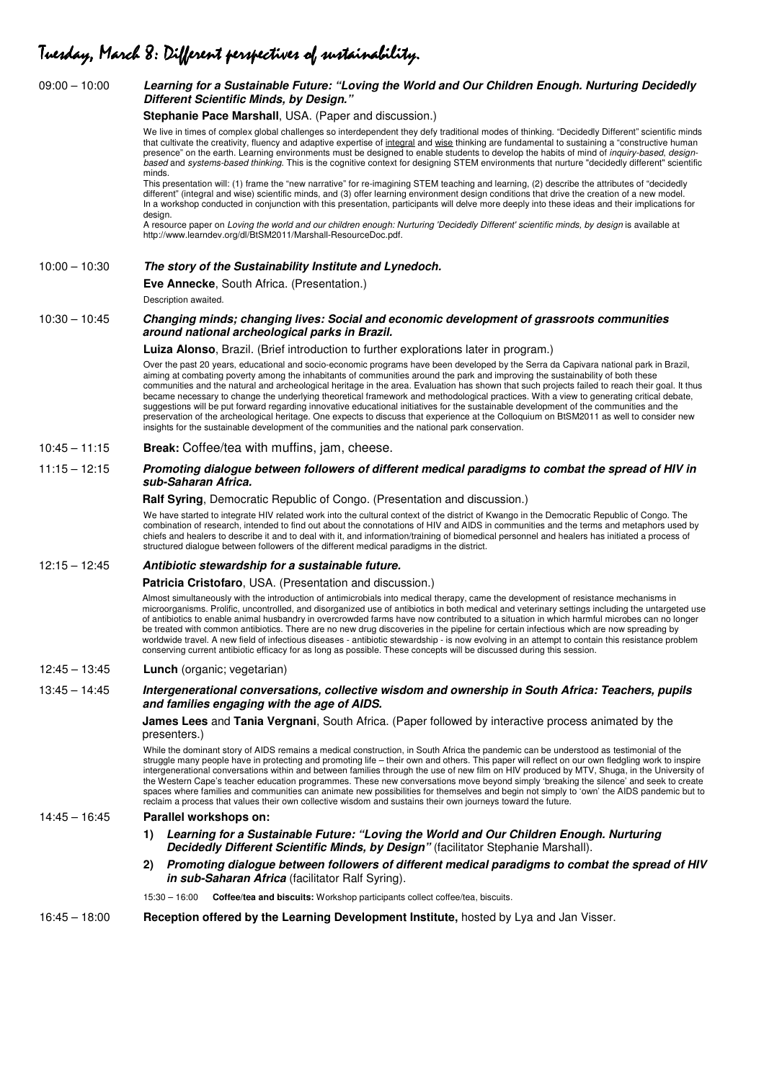### Tuesday, March 8: Different perspectives of sustainability.

### 09:00 – 10:00 **Learning for a Sustainable Future: "Loving the World and Our Children Enough. Nurturing Decidedly Different Scientific Minds, by Design." Stephanie Pace Marshall**, USA. (Paper and discussion.) We live in times of complex global challenges so interdependent they defy traditional modes of thinking. "Decidedly Different" scientific minds that cultivate the creativity, fluency and adaptive expertise of integral and wise thinking are fundamental to sustaining a "constructive human presence" on the earth. Learning environments must be designed to enable students to develop the habits of mind of inquiry-based, designbased and systems-based thinking. This is the cognitive context for designing STEM environments that nurture "decidedly different" scientific minds. This presentation will: (1) frame the "new narrative" for re-imagining STEM teaching and learning, (2) describe the attributes of "decidedly different" (integral and wise) scientific minds, and (3) offer learning environment design conditions that drive the creation of a new model. In a workshop conducted in conjunction with this presentation, participants will delve more deeply into these ideas and their implications for design. A resource paper on Loving the world and our children enough: Nurturing 'Decidedly Different' scientific minds, by design is available at http://www.learndev.org/dl/BtSM2011/Marshall-ResourceDoc.pdf. 10:00 – 10:30 **The story of the Sustainability Institute and Lynedoch. Eve Annecke**, South Africa. (Presentation.) Description awaited. 10:30 – 10:45 **Changing minds; changing lives: Social and economic development of grassroots communities around national archeological parks in Brazil. Luiza Alonso**, Brazil. (Brief introduction to further explorations later in program.) Over the past 20 years, educational and socio-economic programs have been developed by the Serra da Capivara national park in Brazil, aiming at combating poverty among the inhabitants of communities around the park and improving the sustainability of both these communities and the natural and archeological heritage in the area. Evaluation has shown that such projects failed to reach their goal. It thus became necessary to change the underlying theoretical framework and methodological practices. With a view to generating critical debate, suggestions will be put forward regarding innovative educational initiatives for the sustainable development of the communities and the preservation of the archeological heritage. One expects to discuss that experience at the Colloquium on BtSM2011 as well to consider new insights for the sustainable development of the communities and the national park conservation. 10:45 – 11:15 **Break:** Coffee/tea with muffins, jam, cheese. 11:15 – 12:15 **Promoting dialogue between followers of different medical paradigms to combat the spread of HIV in sub-Saharan Africa. Ralf Syring**, Democratic Republic of Congo. (Presentation and discussion.) We have started to integrate HIV related work into the cultural context of the district of Kwango in the Democratic Republic of Congo. The combination of research, intended to find out about the connotations of HIV and AIDS in communities and the terms and metaphors used by chiefs and healers to describe it and to deal with it, and information/training of biomedical personnel and healers has initiated a process of structured dialogue between followers of the different medical paradigms in the district. 12:15 – 12:45 **Antibiotic stewardship for a sustainable future. Patricia Cristofaro**, USA. (Presentation and discussion.) Almost simultaneously with the introduction of antimicrobials into medical therapy, came the development of resistance mechanisms in microorganisms. Prolific, uncontrolled, and disorganized use of antibiotics in both medical and veterinary settings including the untargeted use of antibiotics to enable animal husbandry in overcrowded farms have now contributed to a situation in which harmful microbes can no longer be treated with common antibiotics. There are no new drug discoveries in the pipeline for certain infectious which are now spreading by worldwide travel. A new field of infectious diseases - antibiotic stewardship - is now evolving in an attempt to contain this resistance problem conserving current antibiotic efficacy for as long as possible. These concepts will be discussed during this session. 12:45 – 13:45 **Lunch** (organic; vegetarian) 13:45 – 14:45 **Intergenerational conversations, collective wisdom and ownership in South Africa: Teachers, pupils and families engaging with the age of AIDS. James Lees** and **Tania Vergnani**, South Africa. (Paper followed by interactive process animated by the presenters.) While the dominant story of AIDS remains a medical construction, in South Africa the pandemic can be understood as testimonial of the struggle many people have in protecting and promoting life – their own and others. This paper will reflect on our own fledgling work to inspire intergenerational conversations within and between families through the use of new film on HIV produced by MTV, Shuga, in the University of the Western Cape's teacher education programmes. These new conversations move beyond simply 'breaking the silence' and seek to create spaces where families and communities can animate new possibilities for themselves and begin not simply to 'own' the AIDS pandemic but to reclaim a process that values their own collective wisdom and sustains their own journeys toward the future. 14:45 – 16:45 **Parallel workshops on: 1) Learning for a Sustainable Future: "Loving the World and Our Children Enough. Nurturing Decidedly Different Scientific Minds, by Design"** (facilitator Stephanie Marshall). **2) Promoting dialogue between followers of different medical paradigms to combat the spread of HIV in sub-Saharan Africa** (facilitator Ralf Syring). 15:30 – 16:00 **Coffee/tea and biscuits:** Workshop participants collect coffee/tea, biscuits. 16:45 – 18:00 **Reception offered by the Learning Development Institute,** hosted by Lya and Jan Visser.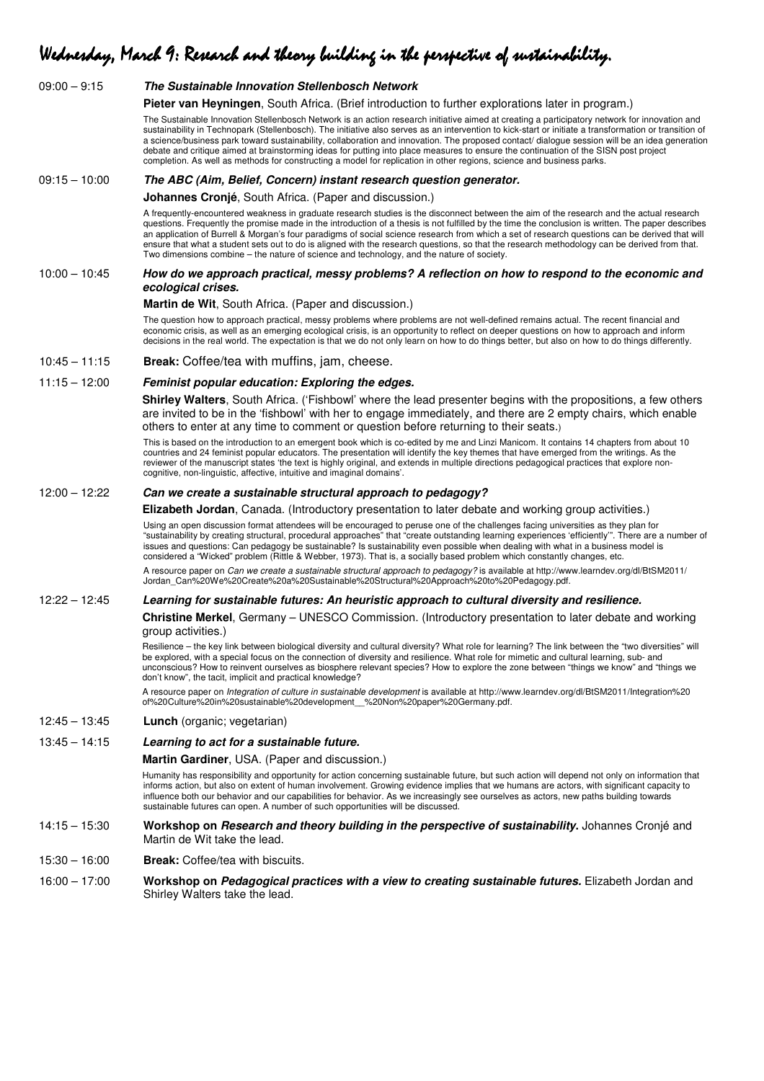# Wednesday, March 9: Research and theory building in the perspective of sustainability.

| $09:00 - 9:15$  | The Sustainable Innovation Stellenbosch Network                                                                                                                                                                                                                                                                                                                                                                                                                                                                                                                                                                                                                                                                            |
|-----------------|----------------------------------------------------------------------------------------------------------------------------------------------------------------------------------------------------------------------------------------------------------------------------------------------------------------------------------------------------------------------------------------------------------------------------------------------------------------------------------------------------------------------------------------------------------------------------------------------------------------------------------------------------------------------------------------------------------------------------|
|                 | Pieter van Heyningen, South Africa. (Brief introduction to further explorations later in program.)                                                                                                                                                                                                                                                                                                                                                                                                                                                                                                                                                                                                                         |
|                 | The Sustainable Innovation Stellenbosch Network is an action research initiative aimed at creating a participatory network for innovation and<br>sustainability in Technopark (Stellenbosch). The initiative also serves as an intervention to kick-start or initiate a transformation or transition of<br>a science/business park toward sustainability, collaboration and innovation. The proposed contact/ dialogue session will be an idea generation<br>debate and critique aimed at brainstorming ideas for putting into place measures to ensure the continuation of the SISN post project<br>completion. As well as methods for constructing a model for replication in other regions, science and business parks. |
| $09:15 - 10:00$ | The ABC (Aim, Belief, Concern) instant research question generator.                                                                                                                                                                                                                                                                                                                                                                                                                                                                                                                                                                                                                                                        |
|                 | <b>Johannes Cronjé, South Africa. (Paper and discussion.)</b>                                                                                                                                                                                                                                                                                                                                                                                                                                                                                                                                                                                                                                                              |
|                 | A frequently-encountered weakness in graduate research studies is the disconnect between the aim of the research and the actual research<br>questions. Frequently the promise made in the introduction of a thesis is not fulfilled by the time the conclusion is written. The paper describes<br>an application of Burrell & Morgan's four paradigms of social science research from which a set of research questions can be derived that will<br>ensure that what a student sets out to do is aligned with the research questions, so that the research methodology can be derived from that.<br>Two dimensions combine $-$ the nature of science and technology, and the nature of society.                            |
| $10:00 - 10:45$ | How do we approach practical, messy problems? A reflection on how to respond to the economic and<br>ecological crises.                                                                                                                                                                                                                                                                                                                                                                                                                                                                                                                                                                                                     |
|                 | <b>Martin de Wit, South Africa. (Paper and discussion.)</b>                                                                                                                                                                                                                                                                                                                                                                                                                                                                                                                                                                                                                                                                |
|                 | The question how to approach practical, messy problems where problems are not well-defined remains actual. The recent financial and<br>economic crisis, as well as an emerging ecological crisis, is an opportunity to reflect on deeper questions on how to approach and inform<br>decisions in the real world. The expectation is that we do not only learn on how to do things better, but also on how to do things differently.                                                                                                                                                                                                                                                                                        |
| $10:45 - 11:15$ | Break: Coffee/tea with muffins, jam, cheese.                                                                                                                                                                                                                                                                                                                                                                                                                                                                                                                                                                                                                                                                               |
| $11:15 - 12:00$ | Feminist popular education: Exploring the edges.                                                                                                                                                                                                                                                                                                                                                                                                                                                                                                                                                                                                                                                                           |
|                 | Shirley Walters, South Africa. ('Fishbowl' where the lead presenter begins with the propositions, a few others<br>are invited to be in the 'fishbowl' with her to engage immediately, and there are 2 empty chairs, which enable<br>others to enter at any time to comment or question before returning to their seats.)                                                                                                                                                                                                                                                                                                                                                                                                   |
|                 | This is based on the introduction to an emergent book which is co-edited by me and Linzi Manicom. It contains 14 chapters from about 10<br>countries and 24 feminist popular educators. The presentation will identify the key themes that have emerged from the writings. As the<br>reviewer of the manuscript states 'the text is highly original, and extends in multiple directions pedagogical practices that explore non-<br>cognitive, non-linguistic, affective, intuitive and imaginal domains'.                                                                                                                                                                                                                  |
| $12:00 - 12:22$ | Can we create a sustainable structural approach to pedagogy?                                                                                                                                                                                                                                                                                                                                                                                                                                                                                                                                                                                                                                                               |
|                 | Elizabeth Jordan, Canada. (Introductory presentation to later debate and working group activities.)                                                                                                                                                                                                                                                                                                                                                                                                                                                                                                                                                                                                                        |
|                 | Using an open discussion format attendees will be encouraged to peruse one of the challenges facing universities as they plan for<br>"sustainability by creating structural, procedural approaches" that "create outstanding learning experiences 'efficiently". There are a number of<br>issues and questions: Can pedagogy be sustainable? Is sustainability even possible when dealing with what in a business model is<br>considered a "Wicked" problem (Rittle & Webber, 1973). That is, a socially based problem which constantly changes, etc.                                                                                                                                                                      |
|                 | A resource paper on Can we create a sustainable structural approach to pedagogy? is available at http://www.learndev.org/dl/BtSM2011/<br>Jordan_Can%20We%20Create%20a%20Sustainable%20Structural%20Approach%20to%20Pedagogy.pdf.                                                                                                                                                                                                                                                                                                                                                                                                                                                                                           |
| $12:22 - 12:45$ | Learning for sustainable futures: An heuristic approach to cultural diversity and resilience.                                                                                                                                                                                                                                                                                                                                                                                                                                                                                                                                                                                                                              |
|                 | Christine Merkel, Germany - UNESCO Commission. (Introductory presentation to later debate and working<br>group activities.)                                                                                                                                                                                                                                                                                                                                                                                                                                                                                                                                                                                                |
|                 | Resilience - the key link between biological diversity and cultural diversity? What role for learning? The link between the "two diversities" will<br>be explored, with a special focus on the connection of diversity and resilience. What role for mimetic and cultural learning, sub- and<br>unconscious? How to reinvent ourselves as biosphere relevant species? How to explore the zone between "things we know" and "things we<br>don't know", the tacit, implicit and practical knowledge?                                                                                                                                                                                                                         |
|                 | A resource paper on Integration of culture in sustainable development is available at http://www.learndev.org/dl/BtSM2011/Integration%20<br>of%20Culture%20in%20sustainable%20development %20Non%20paper%20Germany.pdf.                                                                                                                                                                                                                                                                                                                                                                                                                                                                                                    |
| $12:45 - 13:45$ | <b>Lunch</b> (organic; vegetarian)                                                                                                                                                                                                                                                                                                                                                                                                                                                                                                                                                                                                                                                                                         |
| $13:45 - 14:15$ | Learning to act for a sustainable future.                                                                                                                                                                                                                                                                                                                                                                                                                                                                                                                                                                                                                                                                                  |
|                 | <b>Martin Gardiner, USA. (Paper and discussion.)</b>                                                                                                                                                                                                                                                                                                                                                                                                                                                                                                                                                                                                                                                                       |
|                 | Humanity has responsibility and opportunity for action concerning sustainable future, but such action will depend not only on information that<br>informs action, but also on extent of human involvement. Growing evidence implies that we humans are actors, with significant capacity to<br>influence both our behavior and our capabilities for behavior. As we increasingly see ourselves as actors, new paths building towards<br>sustainable futures can open. A number of such opportunities will be discussed.                                                                                                                                                                                                    |
| $14:15 - 15:30$ | Workshop on Research and theory building in the perspective of sustainability. Johannes Cronjé and<br>Martin de Wit take the lead.                                                                                                                                                                                                                                                                                                                                                                                                                                                                                                                                                                                         |
| $15:30 - 16:00$ | <b>Break:</b> Coffee/tea with biscuits.                                                                                                                                                                                                                                                                                                                                                                                                                                                                                                                                                                                                                                                                                    |
| $16:00 - 17:00$ | Workshop on Pedagogical practices with a view to creating sustainable futures. Elizabeth Jordan and<br>Shirley Walters take the lead.                                                                                                                                                                                                                                                                                                                                                                                                                                                                                                                                                                                      |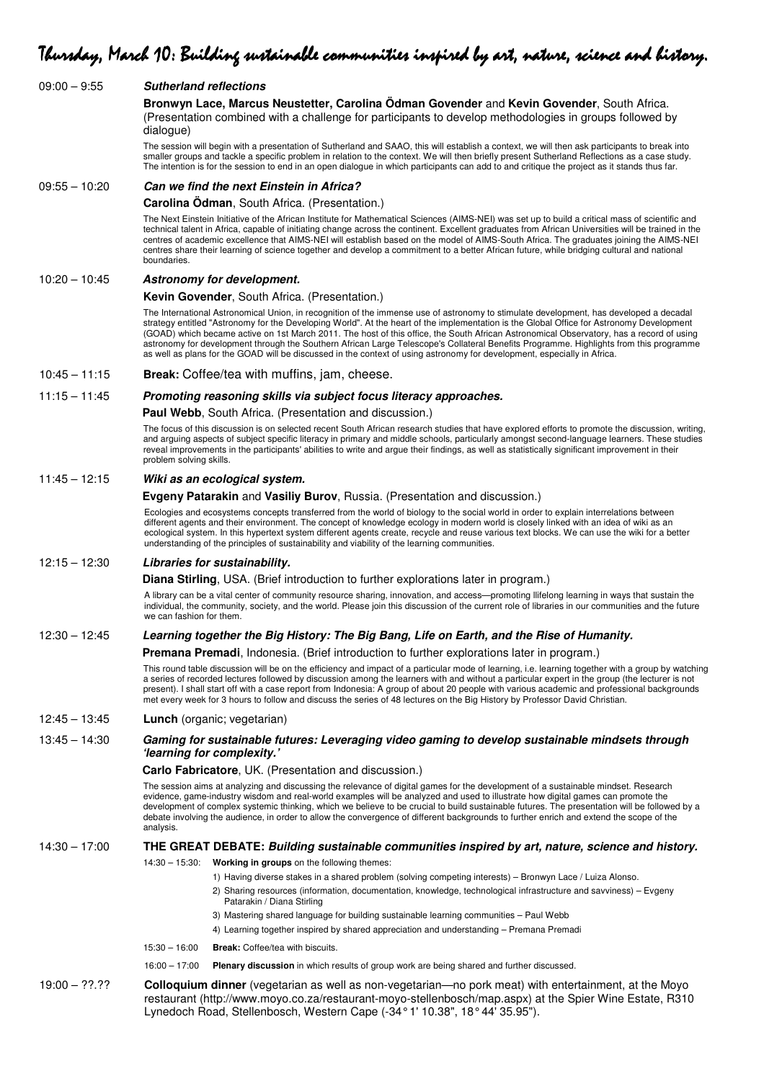| $09:00 - 9:55$  | <b>Sutherland reflections</b>                                                                                                                                                                                                                                                                                                                                                                                                                                                                                                                                                                                                                                                                         |
|-----------------|-------------------------------------------------------------------------------------------------------------------------------------------------------------------------------------------------------------------------------------------------------------------------------------------------------------------------------------------------------------------------------------------------------------------------------------------------------------------------------------------------------------------------------------------------------------------------------------------------------------------------------------------------------------------------------------------------------|
|                 | Bronwyn Lace, Marcus Neustetter, Carolina Ödman Govender and Kevin Govender, South Africa.<br>(Presentation combined with a challenge for participants to develop methodologies in groups followed by<br>dialogue)                                                                                                                                                                                                                                                                                                                                                                                                                                                                                    |
|                 | The session will begin with a presentation of Sutherland and SAAO, this will establish a context, we will then ask participants to break into<br>smaller groups and tackle a specific problem in relation to the context. We will then briefly present Sutherland Reflections as a case study.<br>The intention is for the session to end in an open dialogue in which participants can add to and critique the project as it stands thus far.                                                                                                                                                                                                                                                        |
| $09:55 - 10:20$ | <b>Can we find the next Einstein in Africa?</b>                                                                                                                                                                                                                                                                                                                                                                                                                                                                                                                                                                                                                                                       |
|                 | Carolina Ödman, South Africa. (Presentation.)                                                                                                                                                                                                                                                                                                                                                                                                                                                                                                                                                                                                                                                         |
|                 | The Next Einstein Initiative of the African Institute for Mathematical Sciences (AIMS-NEI) was set up to build a critical mass of scientific and<br>technical talent in Africa, capable of initiating change across the continent. Excellent graduates from African Universities will be trained in the<br>centres of academic excellence that AIMS-NEI will establish based on the model of AIMS-South Africa. The graduates joining the AIMS-NEI<br>centres share their learning of science together and develop a commitment to a better African future, while bridging cultural and national<br>boundaries.                                                                                       |
| $10:20 - 10:45$ | Astronomy for development.                                                                                                                                                                                                                                                                                                                                                                                                                                                                                                                                                                                                                                                                            |
|                 | Kevin Govender, South Africa. (Presentation.)                                                                                                                                                                                                                                                                                                                                                                                                                                                                                                                                                                                                                                                         |
|                 | The International Astronomical Union, in recognition of the immense use of astronomy to stimulate development, has developed a decadal<br>strategy entitled "Astronomy for the Developing World". At the heart of the implementation is the Global Office for Astronomy Development<br>(GOAD) which became active on 1st March 2011. The host of this office, the South African Astronomical Observatory, has a record of using<br>astronomy for development through the Southern African Large Telescope's Collateral Benefits Programme. Highlights from this programme<br>as well as plans for the GOAD will be discussed in the context of using astronomy for development, especially in Africa. |
| $10:45 - 11:15$ | Break: Coffee/tea with muffins, jam, cheese.                                                                                                                                                                                                                                                                                                                                                                                                                                                                                                                                                                                                                                                          |
| $11:15 - 11:45$ | Promoting reasoning skills via subject focus literacy approaches.                                                                                                                                                                                                                                                                                                                                                                                                                                                                                                                                                                                                                                     |
|                 | Paul Webb, South Africa. (Presentation and discussion.)                                                                                                                                                                                                                                                                                                                                                                                                                                                                                                                                                                                                                                               |
|                 | The focus of this discussion is on selected recent South African research studies that have explored efforts to promote the discussion, writing,<br>and arguing aspects of subject specific literacy in primary and middle schools, particularly amongst second-language learners. These studies<br>reveal improvements in the participants' abilities to write and argue their findings, as well as statistically significant improvement in their<br>problem solving skills.                                                                                                                                                                                                                        |
| $11:45 - 12:15$ | Wiki as an ecological system.                                                                                                                                                                                                                                                                                                                                                                                                                                                                                                                                                                                                                                                                         |
|                 | <b>Evgeny Patarakin and Vasiliy Burov, Russia. (Presentation and discussion.)</b>                                                                                                                                                                                                                                                                                                                                                                                                                                                                                                                                                                                                                     |
|                 | Ecologies and ecosystems concepts transferred from the world of biology to the social world in order to explain interrelations between<br>different agents and their environment. The concept of knowledge ecology in modern world is closely linked with an idea of wiki as an<br>ecological system. In this hypertext system different agents create, recycle and reuse various text blocks. We can use the wiki for a better<br>understanding of the principles of sustainability and viability of the learning communities.                                                                                                                                                                       |
| $12:15 - 12:30$ | Libraries for sustainability.                                                                                                                                                                                                                                                                                                                                                                                                                                                                                                                                                                                                                                                                         |
|                 | Diana Stirling, USA. (Brief introduction to further explorations later in program.)                                                                                                                                                                                                                                                                                                                                                                                                                                                                                                                                                                                                                   |
|                 | A library can be a vital center of community resource sharing, innovation, and access—promoting llifelong learning in ways that sustain the<br>individual, the community, society, and the world. Please join this discussion of the current role of libraries in our communities and the future<br>we can fashion for them.                                                                                                                                                                                                                                                                                                                                                                          |
| $12:30 - 12:45$ | Learning together the Big History: The Big Bang, Life on Earth, and the Rise of Humanity.                                                                                                                                                                                                                                                                                                                                                                                                                                                                                                                                                                                                             |
|                 | <b>Premana Premadi</b> , Indonesia. (Brief introduction to further explorations later in program.)                                                                                                                                                                                                                                                                                                                                                                                                                                                                                                                                                                                                    |
|                 | This round table discussion will be on the efficiency and impact of a particular mode of learning, i.e. learning together with a group by watching<br>a series of recorded lectures followed by discussion among the learners with and without a particular expert in the group (the lecturer is not<br>present). I shall start off with a case report from Indonesia: A group of about 20 people with various academic and professional backgrounds<br>met every week for 3 hours to follow and discuss the series of 48 lectures on the Big History by Professor David Christian.                                                                                                                   |
| $12:45 - 13:45$ | <b>Lunch</b> (organic; vegetarian)                                                                                                                                                                                                                                                                                                                                                                                                                                                                                                                                                                                                                                                                    |
| $13:45 - 14:30$ | Gaming for sustainable futures: Leveraging video gaming to develop sustainable mindsets through<br>'learning for complexity.'                                                                                                                                                                                                                                                                                                                                                                                                                                                                                                                                                                         |
|                 | <b>Carlo Fabricatore, UK. (Presentation and discussion.)</b>                                                                                                                                                                                                                                                                                                                                                                                                                                                                                                                                                                                                                                          |
|                 | The session aims at analyzing and discussing the relevance of digital games for the development of a sustainable mindset. Research<br>evidence, game-industry wisdom and real-world examples will be analyzed and used to illustrate how digital games can promote the<br>development of complex systemic thinking, which we believe to be crucial to build sustainable futures. The presentation will be followed by a<br>debate involving the audience, in order to allow the convergence of different backgrounds to further enrich and extend the scope of the<br>analysis.                                                                                                                       |
| $14:30 - 17:00$ | THE GREAT DEBATE: Building sustainable communities inspired by art, nature, science and history.                                                                                                                                                                                                                                                                                                                                                                                                                                                                                                                                                                                                      |
|                 | 14:30 - 15:30: Working in groups on the following themes:                                                                                                                                                                                                                                                                                                                                                                                                                                                                                                                                                                                                                                             |
|                 | 1) Having diverse stakes in a shared problem (solving competing interests) - Bronwyn Lace / Luiza Alonso.<br>2) Sharing resources (information, documentation, knowledge, technological infrastructure and savviness) - Evgeny<br>Patarakin / Diana Stirling                                                                                                                                                                                                                                                                                                                                                                                                                                          |
|                 | 3) Mastering shared language for building sustainable learning communities - Paul Webb                                                                                                                                                                                                                                                                                                                                                                                                                                                                                                                                                                                                                |
|                 | 4) Learning together inspired by shared appreciation and understanding – Premana Premadi                                                                                                                                                                                                                                                                                                                                                                                                                                                                                                                                                                                                              |
|                 | $15:30 - 16:00$<br><b>Break:</b> Coffee/tea with biscuits.                                                                                                                                                                                                                                                                                                                                                                                                                                                                                                                                                                                                                                            |
|                 | Plenary discussion in which results of group work are being shared and further discussed.<br>$16:00 - 17:00$                                                                                                                                                                                                                                                                                                                                                                                                                                                                                                                                                                                          |
| $19:00 - ????$  | Colloquium dinner (vegetarian as well as non-vegetarian—no pork meat) with entertainment, at the Moyo<br>restaurant (http://www.moyo.co.za/restaurant-moyo-stellenbosch/map.aspx) at the Spier Wine Estate, R310                                                                                                                                                                                                                                                                                                                                                                                                                                                                                      |

Lynedoch Road, Stellenbosch, Western Cape (-34° 1' 10.38", 18° 44' 35.95").